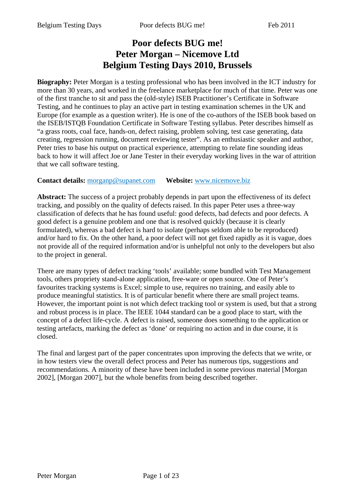# **Poor defects BUG me! Peter Morgan – Nicemove Ltd Belgium Testing Days 2010, Brussels**

**Biography:** Peter Morgan is a testing professional who has been involved in the ICT industry for more than 30 years, and worked in the freelance marketplace for much of that time. Peter was one of the first tranche to sit and pass the (old-style) ISEB Practitioner's Certificate in Software Testing, and he continues to play an active part in testing examination schemes in the UK and Europe (for example as a question writer). He is one of the co-authors of the ISEB book based on the ISEB/ISTQB Foundation Certificate in Software Testing syllabus. Peter describes himself as "a grass roots, coal face, hands-on, defect raising, problem solving, test case generating, data creating, regression running, document reviewing tester". As an enthusiastic speaker and author, Peter tries to base his output on practical experience, attempting to relate fine sounding ideas back to how it will affect Joe or Jane Tester in their everyday working lives in the war of attrition that we call software testing.

#### **Contact details:** morganp@supanet.com **Website:** www.nicemove.biz

**Abstract:** The success of a project probably depends in part upon the effectiveness of its defect tracking, and possibly on the quality of defects raised. In this paper Peter uses a three-way classification of defects that he has found useful: good defects, bad defects and poor defects. A good defect is a genuine problem and one that is resolved quickly (because it is clearly formulated), whereas a bad defect is hard to isolate (perhaps seldom able to be reproduced) and/or hard to fix. On the other hand, a poor defect will not get fixed rapidly as it is vague, does not provide all of the required information and/or is unhelpful not only to the developers but also to the project in general.

There are many types of defect tracking 'tools' available; some bundled with Test Management tools, others propriety stand-alone application, free-ware or open source. One of Peter's favourites tracking systems is Excel; simple to use, requires no training, and easily able to produce meaningful statistics. It is of particular benefit where there are small project teams. However, the important point is not which defect tracking tool or system is used, but that a strong and robust process is in place. The IEEE 1044 standard can be a good place to start, with the concept of a defect life-cycle. A defect is raised, someone does something to the application or testing artefacts, marking the defect as 'done' or requiring no action and in due course, it is closed.

The final and largest part of the paper concentrates upon improving the defects that we write, or in how testers view the overall defect process and Peter has numerous tips, suggestions and recommendations. A minority of these have been included in some previous material [Morgan 2002], [Morgan 2007], but the whole benefits from being described together.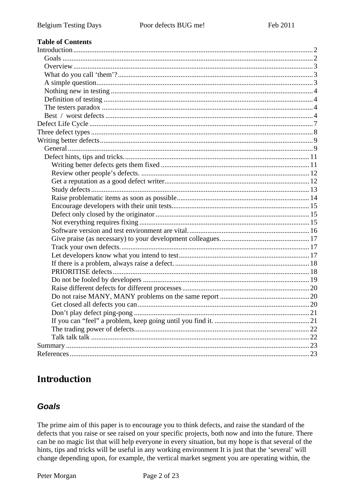#### **Table of Contents**

# **Introduction**

#### **Goals**

The prime aim of this paper is to encourage you to think defects, and raise the standard of the defects that you raise or see raised on your specific projects, both now and into the future. There can be no magic list that will help everyone in every situation, but my hope is that several of the hints, tips and tricks will be useful in any working environment It is just that the 'several' will change depending upon, for example, the vertical market segment you are operating within, the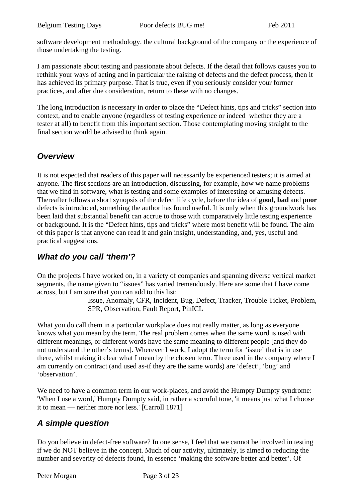software development methodology, the cultural background of the company or the experience of those undertaking the testing.

I am passionate about testing and passionate about defects. If the detail that follows causes you to rethink your ways of acting and in particular the raising of defects and the defect process, then it has achieved its primary purpose. That is true, even if you seriously consider your former practices, and after due consideration, return to these with no changes.

The long introduction is necessary in order to place the "Defect hints, tips and tricks" section into context, and to enable anyone (regardless of testing experience or indeed whether they are a tester at all) to benefit from this important section. Those contemplating moving straight to the final section would be advised to think again.

# *Overview*

It is not expected that readers of this paper will necessarily be experienced testers; it is aimed at anyone. The first sections are an introduction, discussing, for example, how we name problems that we find in software, what is testing and some examples of interesting or amusing defects. Thereafter follows a short synopsis of the defect life cycle, before the idea of **good**, **bad** and **poor** defects is introduced, something the author has found useful. It is only when this groundwork has been laid that substantial benefit can accrue to those with comparatively little testing experience or background. It is the "Defect hints, tips and tricks" where most benefit will be found. The aim of this paper is that anyone can read it and gain insight, understanding, and, yes, useful and practical suggestions.

# *What do you call 'them'?*

On the projects I have worked on, in a variety of companies and spanning diverse vertical market segments, the name given to "issues" has varied tremendously. Here are some that I have come across, but I am sure that you can add to this list:

> Issue, Anomaly, CFR, Incident, Bug, Defect, Tracker, Trouble Ticket, Problem, SPR, Observation, Fault Report, PinICL

What you do call them in a particular workplace does not really matter, as long as everyone knows what you mean by the term. The real problem comes when the same word is used with different meanings, or different words have the same meaning to different people [and they do not understand the other's terms]. Wherever I work, I adopt the term for 'issue' that is in use there, whilst making it clear what I mean by the chosen term. Three used in the company where I am currently on contract (and used as-if they are the same words) are 'defect', 'bug' and 'observation'.

We need to have a common term in our work-places, and avoid the Humpty Dumpty syndrome: 'When I use a word,' Humpty Dumpty said, in rather a scornful tone, 'it means just what I choose it to mean — neither more nor less.' [Carroll 1871]

# *A simple question*

Do you believe in defect-free software? In one sense, I feel that we cannot be involved in testing if we do NOT believe in the concept. Much of our activity, ultimately, is aimed to reducing the number and severity of defects found, in essence 'making the software better and better'. Of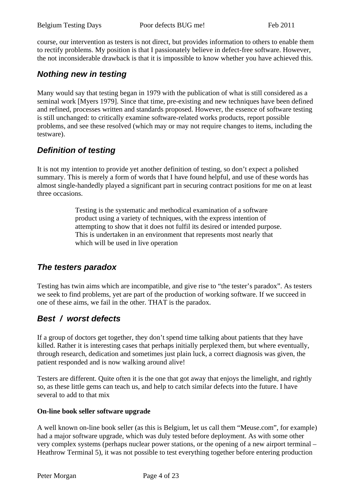course, our intervention as testers is not direct, but provides information to others to enable them to rectify problems. My position is that I passionately believe in defect-free software. However, the not inconsiderable drawback is that it is impossible to know whether you have achieved this.

### *Nothing new in testing*

Many would say that testing began in 1979 with the publication of what is still considered as a seminal work [Myers 1979]. Since that time, pre-existing and new techniques have been defined and refined, processes written and standards proposed. However, the essence of software testing is still unchanged: to critically examine software-related works products, report possible problems, and see these resolved (which may or may not require changes to items, including the testware).

# *Definition of testing*

It is not my intention to provide yet another definition of testing, so don't expect a polished summary. This is merely a form of words that I have found helpful, and use of these words has almost single-handedly played a significant part in securing contract positions for me on at least three occasions.

> Testing is the systematic and methodical examination of a software product using a variety of techniques, with the express intention of attempting to show that it does not fulfil its desired or intended purpose. This is undertaken in an environment that represents most nearly that which will be used in live operation

### *The testers paradox*

Testing has twin aims which are incompatible, and give rise to "the tester's paradox". As testers we seek to find problems, yet are part of the production of working software. If we succeed in one of these aims, we fail in the other. THAT is the paradox.

# *Best / worst defects*

If a group of doctors get together, they don't spend time talking about patients that they have killed. Rather it is interesting cases that perhaps initially perplexed them, but where eventually, through research, dedication and sometimes just plain luck, a correct diagnosis was given, the patient responded and is now walking around alive!

Testers are different. Quite often it is the one that got away that enjoys the limelight, and rightly so, as these little gems can teach us, and help to catch similar defects into the future. I have several to add to that mix

#### **On-line book seller software upgrade**

A well known on-line book seller (as this is Belgium, let us call them "Meuse.com", for example) had a major software upgrade, which was duly tested before deployment. As with some other very complex systems (perhaps nuclear power stations, or the opening of a new airport terminal – Heathrow Terminal 5), it was not possible to test everything together before entering production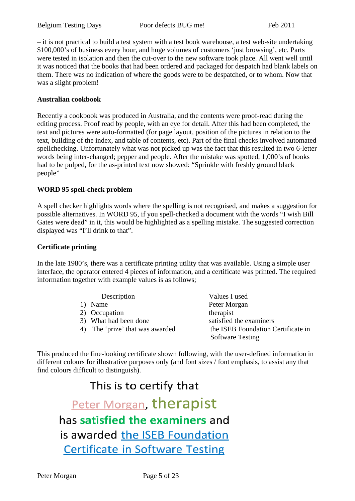– it is not practical to build a test system with a test book warehouse, a test web-site undertaking \$100,000's of business every hour, and huge volumes of customers 'just browsing', etc. Parts were tested in isolation and then the cut-over to the new software took place. All went well until it was noticed that the books that had been ordered and packaged for despatch had blank labels on them. There was no indication of where the goods were to be despatched, or to whom. Now that was a slight problem!

#### **Australian cookbook**

Recently a cookbook was produced in Australia, and the contents were proof-read during the editing process. Proof read by people, with an eye for detail. After this had been completed, the text and pictures were auto-formatted (for page layout, position of the pictures in relation to the text, building of the index, and table of contents, etc). Part of the final checks involved automated spellchecking. Unfortunately what was not picked up was the fact that this resulted in two 6-letter words being inter-changed; pepper and people. After the mistake was spotted, 1,000's of books had to be pulped, for the as-printed text now showed: "Sprinkle with freshly ground black people"

#### **WORD 95 spell-check problem**

A spell checker highlights words where the spelling is not recognised, and makes a suggestion for possible alternatives. In WORD 95, if you spell-checked a document with the words "I wish Bill Gates were dead" in it, this would be highlighted as a spelling mistake. The suggested correction displayed was "I'll drink to that".

#### **Certificate printing**

In the late 1980's, there was a certificate printing utility that was available. Using a simple user interface, the operator entered 4 pieces of information, and a certificate was printed. The required information together with example values is as follows;

| Description                     | Values I used                      |
|---------------------------------|------------------------------------|
| Name<br>$\mathbf{D}$            | Peter Morgan                       |
| 2) Occupation                   | therapist                          |
| 3) What had been done           | satisfied the examiners            |
| 4) The 'prize' that was awarded | the ISEB Foundation Certificate in |
|                                 | <b>Software Testing</b>            |

This produced the fine-looking certificate shown following, with the user-defined information in different colours for illustrative purposes only (and font sizes / font emphasis, to assist any that find colours difficult to distinguish).

# This is to certify that

Peter Morgan, therapist has satisfied the examiners and is awarded the ISEB Foundation **Certificate in Software Testing**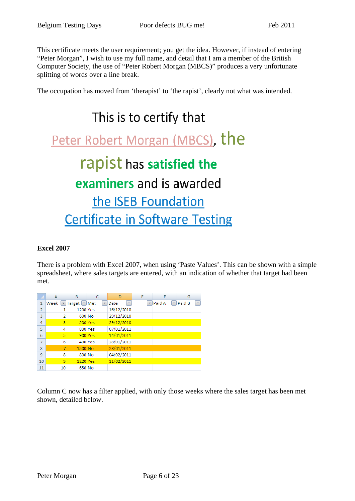This certificate meets the user requirement; you get the idea. However, if instead of entering "Peter Morgan", I wish to use my full name, and detail that I am a member of the British Computer Society, the use of "Peter Robert Morgan (MBCS)" produces a very unfortunate splitting of words over a line break.

The occupation has moved from 'therapist' to 'the rapist', clearly not what was intended.

# This is to certify that

Peter Robert Morgan (MBCS), the

# rapist has satisfied the

# examiners and is awarded

the ISEB Foundation **Certificate in Software Testing** 

#### **Excel 2007**

There is a problem with Excel 2007, when using 'Paste Values'. This can be shown with a simple spreadsheet, where sales targets are entered, with an indication of whether that target had been met.

|                | A         | B                                   | C                        | D                          | E |             | G           |
|----------------|-----------|-------------------------------------|--------------------------|----------------------------|---|-------------|-------------|
| 1              | Week<br>۰ | Target $\vert \mathbf{v} \vert$ Met | $\overline{\phantom{a}}$ | $\bar{\mathbf{v}}$<br>Date | ÷ | Paid A<br>÷ | Paid B<br>× |
| $\overline{2}$ | 1         | 1200 Yes                            |                          | 16/12/2010                 |   |             |             |
| 3              | 2         | 600 No                              |                          | 29/12/2010                 |   |             |             |
| 4              | 3         |                                     | <b>500 Yes</b>           | 29/12/2010                 |   |             |             |
| 5              | 4         |                                     | 800 Yes                  | 07/01/2011                 |   |             |             |
| 6              | 5         |                                     | <b>900 Yes</b>           | 14/01/2011                 |   |             |             |
| 7              | 6         |                                     | 400 Yes                  | 28/01/2011                 |   |             |             |
| 8              | 7         | 1500 No                             |                          | 28/01/2011                 |   |             |             |
| 9              | 8         | 800 No                              |                          | 04/02/2011                 |   |             |             |
| 10             | 9         | 1220 Yes                            |                          | 11/02/2011                 |   |             |             |
| 11             | 10        | 650 No                              |                          |                            |   |             |             |

Column C now has a filter applied, with only those weeks where the sales target has been met shown, detailed below.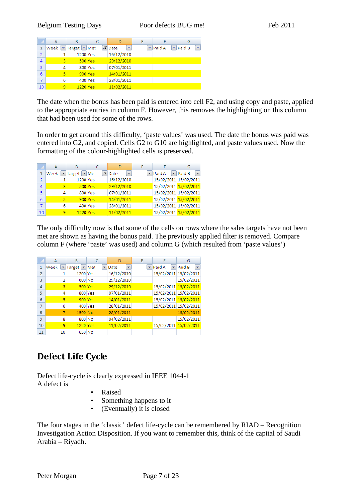|                | А    | B                |                                       |   |             | G           |
|----------------|------|------------------|---------------------------------------|---|-------------|-------------|
| 1              | Week | ▼ Target   ▼ Met | $\sqrt{x}$ Date<br>$\bar{\mathbf{v}}$ | ÷ | Paid A<br>÷ | Paid B<br>÷ |
| $\overline{2}$ |      | 1200 Yes         | 16/12/2010                            |   |             |             |
| $\overline{4}$ | 3    | 500 Yes          | 29/12/2010                            |   |             |             |
| 5              | 4    | 800 Yes          | 07/01/2011                            |   |             |             |
| 6              | 5    | <b>900 Yes</b>   | 14/01/2011                            |   |             |             |
| 7              | 6    | 400 Yes          | 28/01/2011                            |   |             |             |
| 10             | 9    | 1220 Yes         | 11/02/2011                            |   |             |             |

The date when the bonus has been paid is entered into cell F2, and using copy and paste, applied to the appropriate entries in column F. However, this removes the highlighting on this column that had been used for some of the rows.

In order to get around this difficulty, 'paste values' was used. The date the bonus was paid was entered into G2, and copied. Cells G2 to G10 are highlighted, and paste values used. Now the formatting of the colour-highlighted cells is preserved.

|    | А    | в                   |                           | D          |        | G                                                        |
|----|------|---------------------|---------------------------|------------|--------|----------------------------------------------------------|
|    | Week | $\mathbf{r}$ Target | $\blacktriangleright$ Met | ÷<br>Date  | Paid A | $\overline{\phantom{a}}$<br>$\blacktriangleright$ Paid B |
| 2  |      | 1200 Yes            |                           | 16/12/2010 |        | 15/02/2011 15/02/2011                                    |
| 4  | 3    |                     | <b>500 Yes</b>            | 29/12/2010 |        | 15/02/2011 15/02/2011                                    |
| 5  | 4    |                     | 800 Yes                   | 07/01/2011 |        | 15/02/2011 15/02/2011                                    |
| 6  | 5    | 900 Yes             |                           | 14/01/2011 |        | 15/02/2011 15/02/2011                                    |
|    | 6    | 400 Yes             |                           | 28/01/2011 |        | 15/02/2011 15/02/2011                                    |
| 10 | ٩    | 1220 Yes            |                           | 11/02/2011 |        | 15/02/2011 15/02/2011                                    |

The only difficulty now is that some of the cells on rows where the sales targets have not been met are shown as having the bonus paid. The previously applied filter is removed. Compare column F (where 'paste' was used) and column G (which resulted from 'paste values')

|    | A    | B              |     | D                                | E  | F                     | G                                  |
|----|------|----------------|-----|----------------------------------|----|-----------------------|------------------------------------|
| 1  | Week | Target  <br>▼  | Met | Date<br>$\overline{\phantom{a}}$ | ÷. | Paid A<br>÷.          | Paid B<br>$\overline{\phantom{a}}$ |
| 2  |      | 1200 Yes       |     | 16/12/2010                       |    |                       | 15/02/2011 15/02/2011              |
| 3  | 2    | 600 No         |     | 29/12/2010                       |    |                       | 15/02/2011                         |
| 4  | 3    | <b>500 Yes</b> |     | 29/12/2010                       |    | 15/02/2011 15/02/2011 |                                    |
| 5  | 4    | 800 Yes        |     | 07/01/2011                       |    |                       | 15/02/2011 15/02/2011              |
| 6  | 5    | 900 Yes        |     | 14/01/2011                       |    |                       | 15/02/2011 15/02/2011              |
| 7  | 6    | 400 Yes        |     | 28/01/2011                       |    |                       | 15/02/2011 15/02/2011              |
| 8  | 7    | 1500 No        |     | 28/01/2011                       |    |                       | 15/02/2011                         |
| 9  | 8    | 800 No         |     | 04/02/2011                       |    |                       | 15/02/2011                         |
| 10 | 9    | 1220 Yes       |     | 11/02/2011                       |    | 15/02/2011 15/02/2011 |                                    |
| 11 | 10   | 650 No         |     |                                  |    |                       |                                    |

# **Defect Life Cycle**

Defect life-cycle is clearly expressed in IEEE 1044-1 A defect is

- Raised
- Something happens to it
- (Eventually) it is closed

The four stages in the 'classic' defect life-cycle can be remembered by RIAD – Recognition Investigation Action Disposition. If you want to remember this, think of the capital of Saudi Arabia – Riyadh.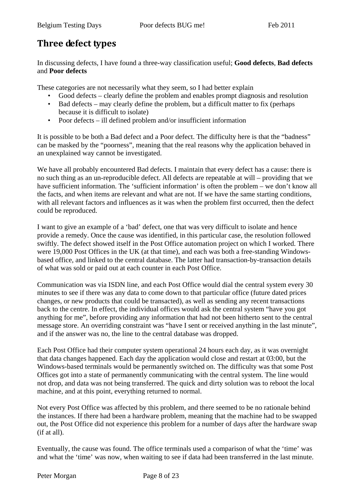# **Three defect types**

In discussing defects, I have found a three-way classification useful; **Good defects**, **Bad defects** and **Poor defects**

These categories are not necessarily what they seem, so I had better explain

- Good defects clearly define the problem and enables prompt diagnosis and resolution
- Bad defects may clearly define the problem, but a difficult matter to fix (perhaps because it is difficult to isolate)
- Poor defects ill defined problem and/or insufficient information

It is possible to be both a Bad defect and a Poor defect. The difficulty here is that the "badness" can be masked by the "poorness", meaning that the real reasons why the application behaved in an unexplained way cannot be investigated.

We have all probably encountered Bad defects. I maintain that every defect has a cause: there is no such thing as an un-reproducible defect. All defects are repeatable at will – providing that we have sufficient information. The 'sufficient information' is often the problem – we don't know all the facts, and when items are relevant and what are not. If we have the same starting conditions, with all relevant factors and influences as it was when the problem first occurred, then the defect could be reproduced.

I want to give an example of a 'bad' defect, one that was very difficult to isolate and hence provide a remedy. Once the cause was identified, in this particular case, the resolution followed swiftly. The defect showed itself in the Post Office automation project on which I worked. There were 19,000 Post Offices in the UK (at that time), and each was both a free-standing Windowsbased office, and linked to the central database. The latter had transaction-by-transaction details of what was sold or paid out at each counter in each Post Office.

Communication was via ISDN line, and each Post Office would dial the central system every 30 minutes to see if there was any data to come down to that particular office (future dated prices changes, or new products that could be transacted), as well as sending any recent transactions back to the centre. In effect, the individual offices would ask the central system "have you got anything for me", before providing any information that had not been hitherto sent to the central message store. An overriding constraint was "have I sent or received anything in the last minute", and if the answer was no, the line to the central database was dropped.

Each Post Office had their computer system operational 24 hours each day, as it was overnight that data changes happened. Each day the application would close and restart at 03:00, but the Windows-based terminals would be permanently switched on. The difficulty was that some Post Offices got into a state of permanently communicating with the central system. The line would not drop, and data was not being transferred. The quick and dirty solution was to reboot the local machine, and at this point, everything returned to normal.

Not every Post Office was affected by this problem, and there seemed to be no rationale behind the instances. If there had been a hardware problem, meaning that the machine had to be swapped out, the Post Office did not experience this problem for a number of days after the hardware swap (if at all).

Eventually, the cause was found. The office terminals used a comparison of what the 'time' was and what the 'time' was now, when waiting to see if data had been transferred in the last minute.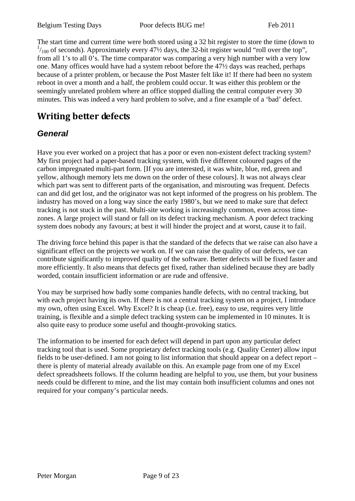Belgium Testing Days Poor defects BUG me! Feb 2011

The start time and current time were both stored using a 32 bit register to store the time (down to  $^{1}/_{100}$  of seconds). Approximately every 47½ days, the 32-bit register would "roll over the top", from all 1's to all 0's. The time comparator was comparing a very high number with a very low one. Many offices would have had a system reboot before the 47½ days was reached, perhaps because of a printer problem, or because the Post Master felt like it! If there had been no system reboot in over a month and a half, the problem could occur. It was either this problem or the seemingly unrelated problem where an office stopped dialling the central computer every 30 minutes. This was indeed a very hard problem to solve, and a fine example of a 'bad' defect.

# **Writing better defects**

# *General*

Have you ever worked on a project that has a poor or even non-existent defect tracking system? My first project had a paper-based tracking system, with five different coloured pages of the carbon impregnated multi-part form. [If you are interested, it was white, blue, red, green and yellow, although memory lets me down on the order of these colours]. It was not always clear which part was sent to different parts of the organisation, and misrouting was frequent. Defects can and did get lost, and the originator was not kept informed of the progress on his problem. The industry has moved on a long way since the early 1980's, but we need to make sure that defect tracking is not stuck in the past. Multi-site working is increasingly common, even across timezones. A large project will stand or fall on its defect tracking mechanism. A poor defect tracking system does nobody any favours; at best it will hinder the project and at worst, cause it to fail.

The driving force behind this paper is that the standard of the defects that we raise can also have a significant effect on the projects we work on. If we can raise the quality of our defects, we can contribute significantly to improved quality of the software. Better defects will be fixed faster and more efficiently. It also means that defects get fixed, rather than sidelined because they are badly worded, contain insufficient information or are rude and offensive.

You may be surprised how badly some companies handle defects, with no central tracking, but with each project having its own. If there is not a central tracking system on a project, I introduce my own, often using Excel. Why Excel? It is cheap (i.e. free), easy to use, requires very little training, is flexible and a simple defect tracking system can be implemented in 10 minutes. It is also quite easy to produce some useful and thought-provoking statics.

The information to be inserted for each defect will depend in part upon any particular defect tracking tool that is used. Some proprietary defect tracking tools (e.g. Quality Center) allow input fields to be user-defined. I am not going to list information that should appear on a defect report – there is plenty of material already available on this. An example page from one of my Excel defect spreadsheets follows. If the column heading are helpful to you, use them, but your business needs could be different to mine, and the list may contain both insufficient columns and ones not required for your company's particular needs.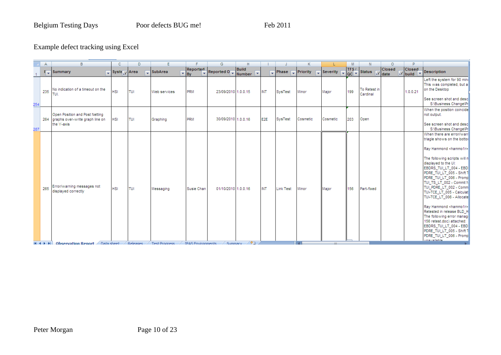#### Example defect tracking using Excel

|            | Α   | B                                                                                            | C                                          | Ð               |                                   |                                        | G                     |                              |                 |                       |          |                                      |              |                          | Ω      |                   |                                                                                                                                                                                                                                                                                                                                                                                                                                                                                                                                                                                                      |
|------------|-----|----------------------------------------------------------------------------------------------|--------------------------------------------|-----------------|-----------------------------------|----------------------------------------|-----------------------|------------------------------|-----------------|-----------------------|----------|--------------------------------------|--------------|--------------------------|--------|-------------------|------------------------------------------------------------------------------------------------------------------------------------------------------------------------------------------------------------------------------------------------------------------------------------------------------------------------------------------------------------------------------------------------------------------------------------------------------------------------------------------------------------------------------------------------------------------------------------------------------|
|            |     | $\sqrt{2}$ Summary                                                                           | $\sqrt{\frac{1}{2}}$ Syste $\sqrt{2}$ Area |                 | SubArea                           | <b>Reported</b><br>$\mathbf{F}$ By     | Reported $0_{\nabla}$ | Build<br>Number <sup>V</sup> |                 | Phase <b>Priority</b> |          | Severity<br>$\overline{\phantom{a}}$ | TFS/<br>QC Y | Status <b>V</b> date     | Closed | Closed<br>V build | Description                                                                                                                                                                                                                                                                                                                                                                                                                                                                                                                                                                                          |
|            | 235 | No indication of a timeout on the<br>TUI.                                                    | <b>HSI</b>                                 | TUI             | Web services                      | PRM                                    | 23/09/2010 1.0.0.15   |                              | <b>INT</b>      | SysTest               | Minor    | Major                                | 199          | To Retest in<br>Cardinal |        | 1.0.0.21          | Left the system for 90 minu<br>This was completed, but a<br>on the Desktop<br>See screen shot and desc                                                                                                                                                                                                                                                                                                                                                                                                                                                                                               |
| 254<br>287 |     | Open Position and Post Netting<br>264 graphs over-write graph line on<br>the Y-axis          | <b>HSI</b>                                 | TUI             | Graphing                          | PRM                                    | 30/09/2010 1.0.0.16   |                              | E <sub>2E</sub> | SysTest               | Cosmetic | Cosmetic                             | 203          | Open                     |        |                   | S:\Business Change\Pr<br>When the position coincide<br>not output.<br>See screen shot and desc<br>S:\Business Change\Pr                                                                                                                                                                                                                                                                                                                                                                                                                                                                              |
|            | 265 | Error/warning messages not<br>displayed correctly<br>$H + H$ Observation Report A Data sheet | <b>HSI</b>                                 | TUI<br>Releases | Messaging<br><b>Test Progress</b> | Susie Chan<br><b>IPAS Environments</b> | 01/10/2010 1.0.0.16   | / Summary / ?コ               | INT             | <b>Link Test</b>      | Minor    | Major<br>$-1111-$                    | 156          | Part-fixed               |        |                   | When there are error/warr<br>triagle shows on the bottor<br>Ray Hammond <hammo1r><br/>The following scripts will n<br/>displayed to the UI:<br/>EBDRS_TUI_LT_004 - EBD<br/>PDRE TUI LT 005 - Shift 1<br/>PDRE_TUI_LT_006 - Promp<br/>TUI_TS_LT_002 - Commit N<br/>TUI_PDRE_LT_002 - Comm<br/>TUI-TCE_LT_005 - Calculat<br/>TUI-TCE LT 006 - Allocate<br/>Ray Hammond <hammo1r><br/>Retested in release BLD H<br/>The following error manage<br/>156 retest.doc) attached:<br/>EBDRS_TUI_LT_004 - EBD<br/>PDRE_TUI_LT_005 - Shift T<br/>PDRE_TUI_LT_006 - Promp<br/>unawailahla .</hammo1r></hammo1r> |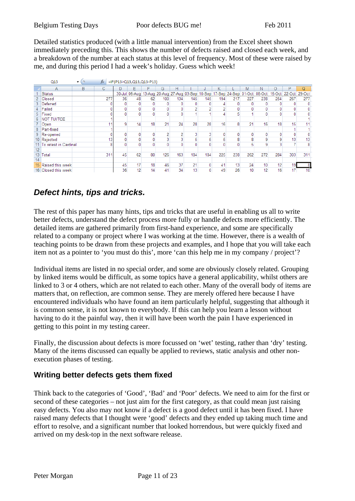Detailed statistics produced (with a little manual intervention) from the Excel sheet shown immediately preceding this. This shows the number of defects raised and closed each week, and a breakdown of the number at each status at this level of frequency. Most of these were raised by me, and during this period I had a week's holiday. Guess which week!

|    | Q15                   |   | $f_x$ |    | =IF(P13>Q13,Q13,Q13-P13)                                                     |    |     |     |     |              |     |     |     |                 |     |                      |     |
|----|-----------------------|---|-------|----|------------------------------------------------------------------------------|----|-----|-----|-----|--------------|-----|-----|-----|-----------------|-----|----------------------|-----|
|    | Α                     | в | С     | D  | F                                                                            |    | G   | Н   |     |              |     |     | M   | N               |     | P                    | Q   |
|    | Status                |   |       |    | 30-Jul 06-Aug 13-Aug 20-Aug 27-Aug 03-Sep 10-Sep 17-Sep 24-Sep 01-Oct 08-Oct |    |     |     |     |              |     |     |     |                 |     | 15-Oct 22-Oct 29-Oct |     |
|    | Closed                |   | 277   | 36 | 48                                                                           | 62 | 100 | 134 | 145 | 145          | 194 | 217 | 227 | 238             | 254 | 267                  | 277 |
|    | Deferred              |   |       | 0  |                                                                              |    |     |     |     |              |     |     |     |                 |     |                      | 0   |
|    | Failed                |   |       | 0  | 0                                                                            |    |     |     |     |              |     |     |     |                 |     |                      | 0   |
|    | 5 Fixed               |   |       | 0  | $\mathbf{0}$                                                                 |    |     |     |     |              |     |     |     |                 | 0   | 0                    |     |
|    | <b>NOT TUI/TCE</b>    |   |       |    |                                                                              |    |     |     |     |              |     |     |     |                 |     |                      |     |
|    | Open                  |   |       | 9  | 14                                                                           | 18 | 21  | 24  | 28  | 28           | 16  | 8   | 21  | 16              | 18  | 15                   |     |
|    | Part-fixed            |   |       |    |                                                                              |    |     |     |     |              |     |     |     |                 |     |                      |     |
|    | 9 Re-opened           |   |       | 0  | 0                                                                            | 0  |     |     |     |              |     |     | 0   | 0               | 0   | 0                    |     |
|    | 10 Rejected           |   | 13    | 0  | 0                                                                            | 0  |     |     |     |              |     |     | 8   | 9               | 9   | 13                   | 13  |
|    | To retest in Cardinal |   | 8     | 0  | 0                                                                            | 0  |     |     |     |              |     |     |     | 9               | 3   |                      |     |
| 12 |                       |   |       |    |                                                                              |    |     |     |     |              |     |     |     |                 |     |                      |     |
| 13 | Total                 |   | 311   | 45 | 62                                                                           | 80 | 126 | 163 | 184 | 184          | 225 | 238 | 262 | 272             | 284 | 303                  | 311 |
| 14 |                       |   |       |    |                                                                              |    |     |     |     |              |     |     |     |                 |     |                      |     |
|    | 15 Raised this week   |   |       | 45 | 17                                                                           | 18 | 46  | 37  | 21  | $\mathbf{0}$ | 41  | 13  | 24  | 10 <sup>1</sup> | 12  | 19.                  |     |
|    | 16 Closed this week   |   |       | 36 | 12                                                                           | 14 | 41  | 34  | 13  |              | 49  | 26  | 10  | 12              | 16  | 17 <sup>1</sup>      | 10  |

# *Defect hints, tips and tricks.*

The rest of this paper has many hints, tips and tricks that are useful in enabling us all to write better defects, understand the defect process more fully or handle defects more efficiently. The detailed items are gathered primarily from first-hand experience, and some are specifically related to a company or project where I was working at the time. However, there is a wealth of teaching points to be drawn from these projects and examples, and I hope that you will take each item not as a pointer to 'you must do this', more 'can this help me in my company / project'?

Individual items are listed in no special order, and some are obviously closely related. Grouping by linked items would be difficult, as some topics have a general applicability, whilst others are linked to 3 or 4 others, which are not related to each other. Many of the overall body of items are matters that, on reflection, are common sense. They are merely offered here because I have encountered individuals who have found an item particularly helpful, suggesting that although it is common sense, it is not known to everybody. If this can help you learn a lesson without having to do it the painful way, then it will have been worth the pain I have experienced in getting to this point in my testing career.

Finally, the discussion about defects is more focussed on 'wet' testing, rather than 'dry' testing. Many of the items discussed can equally be applied to reviews, static analysis and other nonexecution phases of testing.

#### **Writing better defects gets them fixed**

Think back to the categories of 'Good', 'Bad' and 'Poor' defects. We need to aim for the first or second of these categories – not just aim for the first category, as that could mean just raising easy defects. You also may not know if a defect is a good defect until it has been fixed. I have raised many defects that I thought were 'good' defects and they ended up taking much time and effort to resolve, and a significant number that looked horrendous, but were quickly fixed and arrived on my desk-top in the next software release.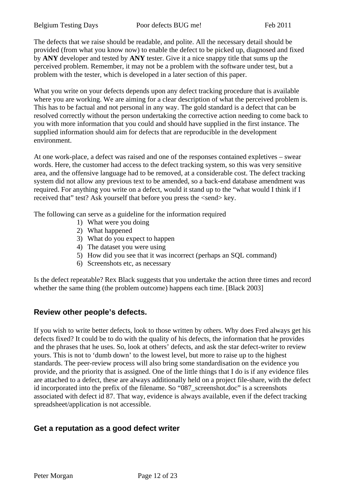The defects that we raise should be readable, and polite. All the necessary detail should be provided (from what you know now) to enable the defect to be picked up, diagnosed and fixed by **ANY** developer and tested by **ANY** tester. Give it a nice snappy title that sums up the perceived problem. Remember, it may not be a problem with the software under test, but a problem with the tester, which is developed in a later section of this paper.

What you write on your defects depends upon any defect tracking procedure that is available where you are working. We are aiming for a clear description of what the perceived problem is. This has to be factual and not personal in any way. The gold standard is a defect that can be resolved correctly without the person undertaking the corrective action needing to come back to you with more information that you could and should have supplied in the first instance. The supplied information should aim for defects that are reproducible in the development environment.

At one work-place, a defect was raised and one of the responses contained expletives – swear words. Here, the customer had access to the defect tracking system, so this was very sensitive area, and the offensive language had to be removed, at a considerable cost. The defect tracking system did not allow any previous text to be amended, so a back-end database amendment was required. For anything you write on a defect, would it stand up to the "what would I think if I received that" test? Ask yourself that before you press the <send> key.

The following can serve as a guideline for the information required

- 1) What were you doing
- 2) What happened
- 3) What do you expect to happen
- 4) The dataset you were using
- 5) How did you see that it was incorrect (perhaps an SQL command)
- 6) Screenshots etc, as necessary

Is the defect repeatable? Rex Black suggests that you undertake the action three times and record whether the same thing (the problem outcome) happens each time. [Black 2003]

#### **Review other people's defects.**

If you wish to write better defects, look to those written by others. Why does Fred always get his defects fixed? It could be to do with the quality of his defects, the information that he provides and the phrases that he uses. So, look at others' defects, and ask the star defect-writer to review yours. This is not to 'dumb down' to the lowest level, but more to raise up to the highest standards. The peer-review process will also bring some standardisation on the evidence you provide, and the priority that is assigned. One of the little things that I do is if any evidence files are attached to a defect, these are always additionally held on a project file-share, with the defect id incorporated into the prefix of the filename. So "087 screenshot.doc" is a screenshots associated with defect id 87. That way, evidence is always available, even if the defect tracking spreadsheet/application is not accessible.

#### **Get a reputation as a good defect writer**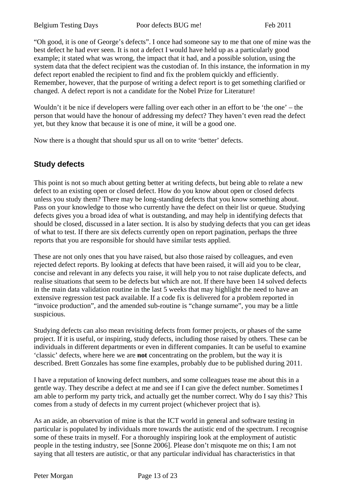"Oh good, it is one of George's defects". I once had someone say to me that one of mine was the best defect he had ever seen. It is not a defect I would have held up as a particularly good example; it stated what was wrong, the impact that it had, and a possible solution, using the system data that the defect recipient was the custodian of. In this instance, the information in my defect report enabled the recipient to find and fix the problem quickly and efficiently. Remember, however, that the purpose of writing a defect report is to get something clarified or changed. A defect report is not a candidate for the Nobel Prize for Literature!

Wouldn't it be nice if developers were falling over each other in an effort to be 'the one' – the person that would have the honour of addressing my defect? They haven't even read the defect yet, but they know that because it is one of mine, it will be a good one.

Now there is a thought that should spur us all on to write 'better' defects.

#### **Study defects**

This point is not so much about getting better at writing defects, but being able to relate a new defect to an existing open or closed defect. How do you know about open or closed defects unless you study them? There may be long-standing defects that you know something about. Pass on your knowledge to those who currently have the defect on their list or queue. Studying defects gives you a broad idea of what is outstanding, and may help in identifying defects that should be closed, discussed in a later section. It is also by studying defects that you can get ideas of what to test. If there are six defects currently open on report pagination, perhaps the three reports that you are responsible for should have similar tests applied.

These are not only ones that you have raised, but also those raised by colleagues, and even rejected defect reports. By looking at defects that have been raised, it will aid you to be clear, concise and relevant in any defects you raise, it will help you to not raise duplicate defects, and realise situations that seem to be defects but which are not. If there have been 14 solved defects in the main data validation routine in the last 5 weeks that may highlight the need to have an extensive regression test pack available. If a code fix is delivered for a problem reported in "invoice production", and the amended sub-routine is "change surname", you may be a little suspicious.

Studying defects can also mean revisiting defects from former projects, or phases of the same project. If it is useful, or inspiring, study defects, including those raised by others. These can be individuals in different departments or even in different companies. It can be useful to examine 'classic' defects, where here we are **not** concentrating on the problem, but the way it is described. Brett Gonzales has some fine examples, probably due to be published during 2011.

I have a reputation of knowing defect numbers, and some colleagues tease me about this in a gentle way. They describe a defect at me and see if I can give the defect number. Sometimes I am able to perform my party trick, and actually get the number correct. Why do I say this? This comes from a study of defects in my current project (whichever project that is).

As an aside, an observation of mine is that the ICT world in general and software testing in particular is populated by individuals more towards the autistic end of the spectrum. I recognise some of these traits in myself. For a thoroughly inspiring look at the employment of autistic people in the testing industry, see [Sonne 2006]. Please don't misquote me on this; I am not saying that all testers are autistic, or that any particular individual has characteristics in that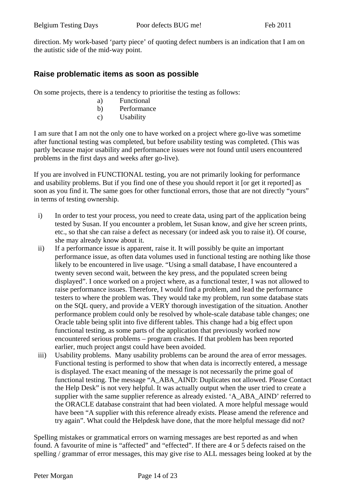direction. My work-based 'party piece' of quoting defect numbers is an indication that I am on the autistic side of the mid-way point.

#### **Raise problematic items as soon as possible**

On some projects, there is a tendency to prioritise the testing as follows:

- a) Functional
- b) Performance
- c) Usability

I am sure that I am not the only one to have worked on a project where go-live was sometime after functional testing was completed, but before usability testing was completed. (This was partly because major usability and performance issues were not found until users encountered problems in the first days and weeks after go-live).

If you are involved in FUNCTIONAL testing, you are not primarily looking for performance and usability problems. But if you find one of these you should report it [or get it reported] as soon as you find it. The same goes for other functional errors, those that are not directly "yours" in terms of testing ownership.

- i) In order to test your process, you need to create data, using part of the application being tested by Susan. If you encounter a problem, let Susan know, and give her screen prints, etc., so that she can raise a defect as necessary (or indeed ask you to raise it). Of course, she may already know about it.
- ii) If a performance issue is apparent, raise it. It will possibly be quite an important performance issue, as often data volumes used in functional testing are nothing like those likely to be encountered in live usage. "Using a small database, I have encountered a twenty seven second wait, between the key press, and the populated screen being displayed". I once worked on a project where, as a functional tester, I was not allowed to raise performance issues. Therefore, I would find a problem, and lead the performance testers to where the problem was. They would take my problem, run some database stats on the SQL query, and provide a VERY thorough investigation of the situation. Another performance problem could only be resolved by whole-scale database table changes; one Oracle table being split into five different tables. This change had a big effect upon functional testing, as some parts of the application that previously worked now encountered serious problems – program crashes. If that problem has been reported earlier, much project angst could have been avoided.
- iii) Usability problems. Many usability problems can be around the area of error messages. Functional testing is performed to show that when data is incorrectly entered, a message is displayed. The exact meaning of the message is not necessarily the prime goal of functional testing. The message "A\_ABA\_AIND: Duplicates not allowed. Please Contact the Help Desk" is not very helpful. It was actually output when the user tried to create a supplier with the same supplier reference as already existed. 'A\_ABA\_AIND' referred to the ORACLE database constraint that had been violated. A more helpful message would have been "A supplier with this reference already exists. Please amend the reference and try again". What could the Helpdesk have done, that the more helpful message did not?

Spelling mistakes or grammatical errors on warning messages are best reported as and when found. A favourite of mine is "affected" and "effected". If there are 4 or 5 defects raised on the spelling / grammar of error messages, this may give rise to ALL messages being looked at by the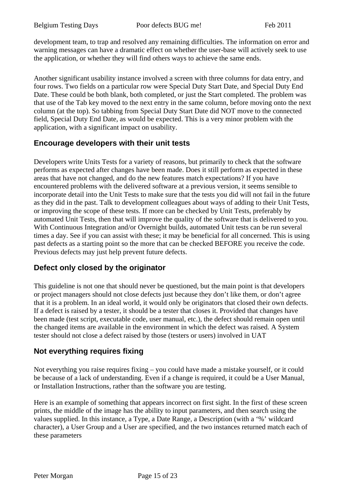development team, to trap and resolved any remaining difficulties. The information on error and warning messages can have a dramatic effect on whether the user-base will actively seek to use the application, or whether they will find others ways to achieve the same ends.

Another significant usability instance involved a screen with three columns for data entry, and four rows. Two fields on a particular row were Special Duty Start Date, and Special Duty End Date. These could be both blank, both completed, or just the Start completed. The problem was that use of the Tab key moved to the next entry in the same column, before moving onto the next column (at the top). So tabbing from Special Duty Start Date did NOT move to the connected field, Special Duty End Date, as would be expected. This is a very minor problem with the application, with a significant impact on usability.

#### **Encourage developers with their unit tests**

Developers write Units Tests for a variety of reasons, but primarily to check that the software performs as expected after changes have been made. Does it still perform as expected in these areas that have not changed, and do the new features match expectations? If you have encountered problems with the delivered software at a previous version, it seems sensible to incorporate detail into the Unit Tests to make sure that the tests you did will not fail in the future as they did in the past. Talk to development colleagues about ways of adding to their Unit Tests, or improving the scope of these tests. If more can be checked by Unit Tests, preferably by automated Unit Tests, then that will improve the quality of the software that is delivered to you. With Continuous Integration and/or Overnight builds, automated Unit tests can be run several times a day. See if you can assist with these; it may be beneficial for all concerned. This is using past defects as a starting point so the more that can be checked BEFORE you receive the code. Previous defects may just help prevent future defects.

#### **Defect only closed by the originator**

This guideline is not one that should never be questioned, but the main point is that developers or project managers should not close defects just because they don't like them, or don't agree that it is a problem. In an ideal world, it would only be originators that closed their own defects. If a defect is raised by a tester, it should be a tester that closes it. Provided that changes have been made (test script, executable code, user manual, etc.), the defect should remain open until the changed items are available in the environment in which the defect was raised. A System tester should not close a defect raised by those (testers or users) involved in UAT

#### **Not everything requires fixing**

Not everything you raise requires fixing – you could have made a mistake yourself, or it could be because of a lack of understanding. Even if a change is required, it could be a User Manual, or Installation Instructions, rather than the software you are testing.

Here is an example of something that appears incorrect on first sight. In the first of these screen prints, the middle of the image has the ability to input parameters, and then search using the values supplied. In this instance, a Type, a Date Range, a Description (with a '%' wildcard character), a User Group and a User are specified, and the two instances returned match each of these parameters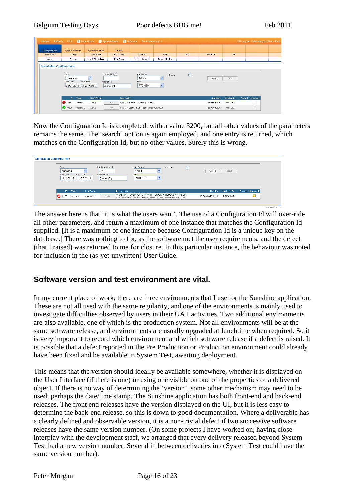| Configurations                   | <b>System Settings</b>                          | <b>Simulation Runs</b>                | Cluster             |                                   |                        |                 |                         |                       |        |         |  |
|----------------------------------|-------------------------------------------------|---------------------------------------|---------------------|-----------------------------------|------------------------|-----------------|-------------------------|-----------------------|--------|---------|--|
| My Configs                       | Today                                           | This Week                             | Last Week           | Quants                            | Risk                   | B <sub>2C</sub> | Portfolio               | All                   |        |         |  |
| Clone                            | Queue                                           | Health Check is On                    | Find Runs           | <b>Delete Results</b>             | Toggle Hidden          |                 |                         |                       |        |         |  |
|                                  | Type<br><b>Baseline</b>                         | $\overline{\phantom{a}}$              | Configuration ID    | User Group<br>Admin               | Hidden<br>$\checkmark$ | П               | Search                  | Reset                 |        |         |  |
|                                  | Start Date<br>24/01/2011                        | End Date<br>Description<br>31/01/2011 | Clone of%           | User<br>PT01069                   | $\checkmark$           |                 |                         |                       |        |         |  |
| <b>Simulation Configurations</b> | ID<br><b>Type</b><br>83 3567<br><b>Baseline</b> | <b>User Group</b><br>Admin            | Description<br>Edit | Clone of #3566 - Checking old bug |                        |                 | Updated<br>26 Jan 13:45 | Updated By<br>PT01069 | Purged | Comment |  |

Now the Configuration Id is completed, with a value 3200, but all other values of the parameters remains the same. The 'search' option is again employed, and one entry is returned, which matches on the Configuration Id, but no other values. Surely this is wrong.

| Type<br>Baseline<br>Start Date<br>24/01/2011 | End Date | 31/01/2011 | Configuration ID<br>3200<br>Description<br>Clone of% |             | User Group<br>Admin<br>User<br>PT01069                                                                                                     | $\checkmark$<br>$\checkmark$ | Hidden | □ | Search            | Reset      |                |
|----------------------------------------------|----------|------------|------------------------------------------------------|-------------|--------------------------------------------------------------------------------------------------------------------------------------------|------------------------------|--------|---|-------------------|------------|----------------|
| ID.                                          | Dipe     | User Group |                                                      | Description |                                                                                                                                            |                              |        |   | Updated           | Updated By | Purged Comment |
| 3200                                         | Ad Hoo   | Developers | View                                                 |             | 23 SMP WITH BSLD POWER 33 33 GSP SCALERS REMOVED 33 33 PSP<br>SCALERS REMOVED <sup>37</sup> Clone of 3184 - 30 track version test SBI 2263 |                              |        |   | 16 Sep 2010 11:16 | PTSVL884   | ke.            |

The answer here is that 'it is what the users want'. The use of a Configuration Id will over-ride all other parameters, and return a maximum of one instance that matches the Configuration Id supplied. [It is a maximum of one instance because Configuration Id is a unique key on the database.] There was nothing to fix, as the software met the user requirements, and the defect (that I raised) was returned to me for closure. In this particular instance, the behaviour was noted for inclusion in the (as-yet-unwritten) User Guide.

#### **Software version and test environment are vital.**

In my current place of work, there are three environments that I use for the Sunshine application. These are not all used with the same regularity, and one of the environments is mainly used to investigate difficulties observed by users in their UAT activities. Two additional environments are also available, one of which is the production system. Not all environments will be at the same software release, and environments are usually upgraded at lunchtime when required. So it is very important to record which environment and which software release if a defect is raised. It is possible that a defect reported in the Pre Production or Production environment could already have been fixed and be available in System Test, awaiting deployment.

This means that the version should ideally be available somewhere, whether it is displayed on the User Interface (if there is one) or using one visible on one of the properties of a delivered object. If there is no way of determining the 'version', some other mechanism may need to be used; perhaps the date/time stamp. The Sunshine application has both front-end and back-end releases. The front end releases have the version displayed on the UI, but it is less easy to determine the back-end release, so this is down to good documentation. Where a deliverable has a clearly defined and observable version, it is a non-trivial defect if two successive software releases have the same version number. (On some projects I have worked on, having close interplay with the development staff, we arranged that every delivery released beyond System Test had a new version number. Several in between deliveries into System Test could have the same version number).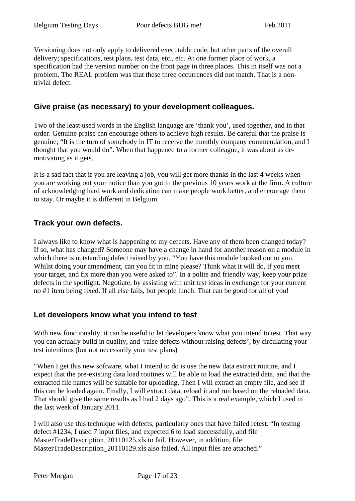Versioning does not only apply to delivered executable code, but other parts of the overall delivery; specifications, test plans, test data, etc., etc. At one former place of work, a specification had the version number on the front page in three places. This in itself was not a problem. The REAL problem was that these three occurrences did not match. That is a nontrivial defect.

#### **Give praise (as necessary) to your development colleagues.**

Two of the least used words in the English language are 'thank you', used together, and in that order. Genuine praise can encourage others to achieve high results. Be careful that the praise is genuine; "It is the turn of somebody in IT to receive the monthly company commendation, and I thought that you would do". When that happened to a former colleague, it was about as demotivating as it gets.

It is a sad fact that if you are leaving a job, you will get more thanks in the last 4 weeks when you are working out your notice than you got in the previous 10 years work at the firm. A culture of acknowledging hard work and dedication can make people work better, and encourage them to stay. Or maybe it is different in Belgium

#### **Track your own defects.**

I always like to know what is happening to my defects. Have any of them been changed today? If so, what has changed? Someone may have a change in hand for another reason on a module in which there is outstanding defect raised by you. "You have this module booked out to you. Whilst doing your amendment, can you fit in mine please? Think what it will do, if you meet your target, and fix more than you were asked to". In a polite and friendly way, keep your prize defects in the spotlight. Negotiate, by assisting with unit test ideas in exchange for your current no #1 item being fixed. If all else fails, but people lunch. That can be good for all of you!

#### **Let developers know what you intend to test**

With new functionality, it can be useful to let developers know what you intend to test. That way you can actually build in quality, and 'raise defects without raising defects', by circulating your test intentions (but not necessarily your test plans)

"When I get this new software, what I intend to do is use the new data extract routine, and I expect that the pre-existing data load routines will be able to load the extracted data, and that the extracted file names will be suitable for uploading. Then I will extract an empty file, and see if this can be loaded again. Finally, I will extract data, reload it and run based on the reloaded data. That should give the same results as I had 2 days ago". This is a real example, which I used in the last week of January 2011.

I will also use this technique with defects, particularly ones that have failed retest. "In testing defect #1234, I used 7 input files, and expected 6 to load successfully, and file MasterTradeDescription 20110125.xls to fail. However, in addition, file MasterTradeDescription\_20110129.xls also failed. All input files are attached."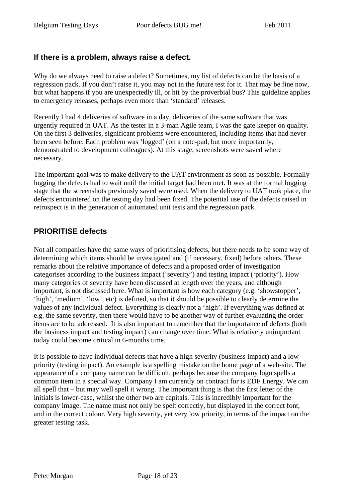#### **If there is a problem, always raise a defect.**

Why do we always need to raise a defect? Sometimes, my list of defects can be the basis of a regression pack. If you don't raise it, you may not in the future test for it. That may be fine now, but what happens if you are unexpectedly ill, or hit by the proverbial bus? This guideline applies to emergency releases, perhaps even more than 'standard' releases.

Recently I had 4 deliveries of software in a day, deliveries of the same software that was urgently required in UAT. As the tester in a 3-man Agile team, I was the gate keeper on quality. On the first 3 deliveries, significant problems were encountered, including items that had never been seen before. Each problem was 'logged' (on a note-pad, but more importantly, demonstrated to development colleagues). At this stage, screenshots were saved where necessary.

The important goal was to make delivery to the UAT environment as soon as possible. Formally logging the defects had to wait until the initial target had been met. It was at the formal logging stage that the screenshots previously saved were used. When the delivery to UAT took place, the defects encountered on the testing day had been fixed. The potential use of the defects raised in retrospect is in the generation of automated unit tests and the regression pack.

#### **PRIORITISE defects**

Not all companies have the same ways of prioritising defects, but there needs to be some way of determining which items should be investigated and (if necessary, fixed) before others. These remarks about the relative importance of defects and a proposed order of investigation categorises according to the business impact ('severity') and testing impact ('priority'). How many categories of severity have been discussed at length over the years, and although important, is not discussed here. What is important is how each category (e.g. 'showstopper', 'high', 'medium', 'low', etc) is defined, so that it should be possible to clearly determine the values of any individual defect. Everything is clearly not a 'high'. If everything was defined at e.g. the same severity, then there would have to be another way of further evaluating the order items are to be addressed. It is also important to remember that the importance of defects (both the business impact and testing impact) can change over time. What is relatively unimportant today could become critical in 6-months time.

It is possible to have individual defects that have a high severity (business impact) and a low priority (testing impact). An example is a spelling mistake on the home page of a web-site. The appearance of a company name can be difficult, perhaps because the company logo spells a common item in a special way. Company I am currently on contract for is EDF Energy. We can all spell that – but may well spell it wrong. The important thing is that the first letter of the initials is lower-case, whilst the other two are capitals. This is incredibly important for the company image. The name must not only be spelt correctly, but displayed in the correct font, and in the correct colour. Very high severity, yet very low priority, in terms of the impact on the greater testing task.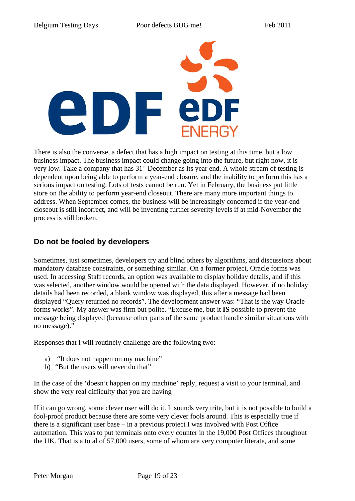

There is also the converse, a defect that has a high impact on testing at this time, but a low business impact. The business impact could change going into the future, but right now, it is very low. Take a company that has  $31<sup>st</sup>$  December as its year end. A whole stream of testing is dependent upon being able to perform a year-end closure, and the inability to perform this has a serious impact on testing. Lots of tests cannot be run. Yet in February, the business put little store on the ability to perform year-end closeout. There are many more important things to address. When September comes, the business will be increasingly concerned if the year-end closeout is still incorrect, and will be inventing further severity levels if at mid-November the process is still broken.

#### **Do not be fooled by developers**

Sometimes, just sometimes, developers try and blind others by algorithms, and discussions about mandatory database constraints, or something similar. On a former project, Oracle forms was used. In accessing Staff records, an option was available to display holiday details, and if this was selected, another window would be opened with the data displayed. However, if no holiday details had been recorded, a blank window was displayed, this after a message had been displayed "Query returned no records". The development answer was: "That is the way Oracle forms works". My answer was firm but polite. "Excuse me, but it **IS** possible to prevent the message being displayed (because other parts of the same product handle similar situations with no message)."

Responses that I will routinely challenge are the following two:

- a) "It does not happen on my machine"
- b) "But the users will never do that"

In the case of the 'doesn't happen on my machine' reply, request a visit to your terminal, and show the very real difficulty that you are having

If it can go wrong, some clever user will do it. It sounds very trite, but it is not possible to build a fool-proof product because there are some very clever fools around. This is especially true if there is a significant user base – in a previous project I was involved with Post Office automation. This was to put terminals onto every counter in the 19,000 Post Offices throughout the UK. That is a total of 57,000 users, some of whom are very computer literate, and some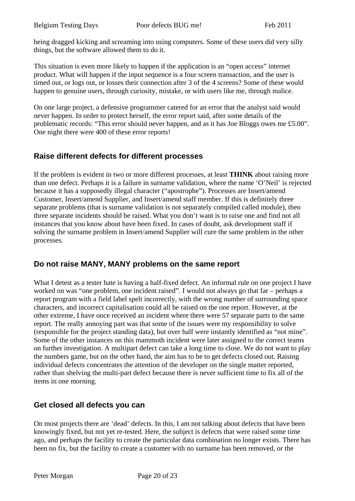being dragged kicking and screaming into using computers. Some of these users did very silly things, but the software allowed them to do it.

This situation is even more likely to happen if the application is an "open access" internet product. What will happen if the input sequence is a four screen transaction, and the user is timed out, or logs out, or losses their connection after 3 of the 4 screens? Some of these would happen to genuine users, through curiosity, mistake, or with users like me, through malice.

On one large project, a defensive programmer catered for an error that the analyst said would never happen. In order to protect herself, the error report said, after some details of the problematic records: "This error should never happen, and as it has Joe Bloggs owes me £5.00". One night there were 400 of these error reports!

#### **Raise different defects for different processes**

If the problem is evident in two or more different processes, at least **THINK** about raising more than one defect. Perhaps it is a failure in surname validation, where the name 'O'Neil' is rejected because it has a supposedly illegal character ("apostrophe"). Processes are Insert/amend Customer, Insert/amend Supplier, and Insert/amend staff member. If this is definitely three separate problems (that is surname validation is not separately compiled called module), then three separate incidents should be raised. What you don't want is to raise one and find not all instances that you know about have been fixed. In cases of doubt, ask development staff if solving the surname problem in Insert/amend Supplier will cure the same problem in the other processes.

#### **Do not raise MANY, MANY problems on the same report**

What I detest as a tester hate is having a half-fixed defect. An informal rule on one project I have worked on was "one problem, one incident raised". I would not always go that far – perhaps a report program with a field label spelt incorrectly, with the wrong number of surrounding space characters, and incorrect capitalisation could all be raised on the one report. However, at the other extreme, I have once received an incident where there were 57 separate parts to the same report. The really annoying part was that some of the issues were my responsibility to solve (responsible for the project standing data), but over half were instantly identified as "not mine". Some of the other instances on this mammoth incident were later assigned to the correct teams on further investigation. A multipart defect can take a long time to close. We do not want to play the numbers game, but on the other hand, the aim has to be to get defects closed out. Raising individual defects concentrates the attention of the developer on the single matter reported, rather than shelving the multi-part defect because there is never sufficient time to fix all of the items in one morning.

#### **Get closed all defects you can**

On most projects there are 'dead' defects. In this, I am not talking about defects that have been knowingly fixed, but not yet re-tested. Here, the subject is defects that were raised some time ago, and perhaps the facility to create the particular data combination no longer exists. There has been no fix, but the facility to create a customer with no surname has been removed, or the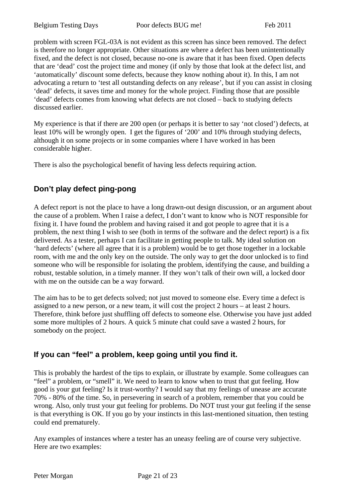problem with screen FGL-03A is not evident as this screen has since been removed. The defect is therefore no longer appropriate. Other situations are where a defect has been unintentionally fixed, and the defect is not closed, because no-one is aware that it has been fixed. Open defects that are 'dead' cost the project time and money (if only by those that look at the defect list, and 'automatically' discount some defects, because they know nothing about it). In this, I am not advocating a return to 'test all outstanding defects on any release', but if you can assist in closing 'dead' defects, it saves time and money for the whole project. Finding those that are possible 'dead' defects comes from knowing what defects are not closed – back to studying defects discussed earlier.

My experience is that if there are 200 open (or perhaps it is better to say 'not closed') defects, at least 10% will be wrongly open. I get the figures of '200' and 10% through studying defects, although it on some projects or in some companies where I have worked in has been considerable higher.

There is also the psychological benefit of having less defects requiring action.

#### **Don't play defect ping-pong**

A defect report is not the place to have a long drawn-out design discussion, or an argument about the cause of a problem. When I raise a defect, I don't want to know who is NOT responsible for fixing it. I have found the problem and having raised it and got people to agree that it is a problem, the next thing I wish to see (both in terms of the software and the defect report) is a fix delivered. As a tester, perhaps I can facilitate in getting people to talk. My ideal solution on 'hard defects' (where all agree that it is a problem) would be to get those together in a lockable room, with me and the only key on the outside. The only way to get the door unlocked is to find someone who will be responsible for isolating the problem, identifying the cause, and building a robust, testable solution, in a timely manner. If they won't talk of their own will, a locked door with me on the outside can be a way forward.

The aim has to be to get defects solved; not just moved to someone else. Every time a defect is assigned to a new person, or a new team, it will cost the project 2 hours – at least 2 hours. Therefore, think before just shuffling off defects to someone else. Otherwise you have just added some more multiples of 2 hours. A quick 5 minute chat could save a wasted 2 hours, for somebody on the project.

#### **If you can "feel" a problem, keep going until you find it.**

This is probably the hardest of the tips to explain, or illustrate by example. Some colleagues can "feel" a problem, or "smell" it. We need to learn to know when to trust that gut feeling. How good is your gut feeling? Is it trust-worthy? I would say that my feelings of unease are accurate 70% - 80% of the time. So, in persevering in search of a problem, remember that you could be wrong. Also, only trust your gut feeling for problems. Do NOT trust your gut feeling if the sense is that everything is OK. If you go by your instincts in this last-mentioned situation, then testing could end prematurely.

Any examples of instances where a tester has an uneasy feeling are of course very subjective. Here are two examples: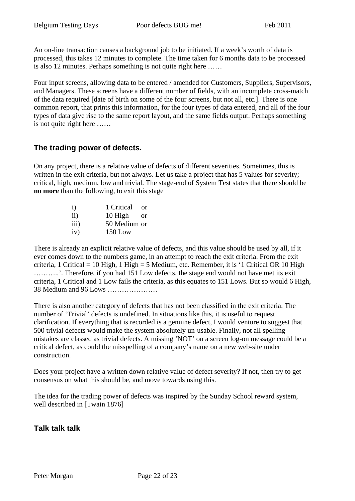An on-line transaction causes a background job to be initiated. If a week's worth of data is processed, this takes 12 minutes to complete. The time taken for 6 months data to be processed is also 12 minutes. Perhaps something is not quite right here ……

Four input screens, allowing data to be entered / amended for Customers, Suppliers, Supervisors, and Managers. These screens have a different number of fields, with an incomplete cross-match of the data required [date of birth on some of the four screens, but not all, etc.]. There is one common report, that prints this information, for the four types of data entered, and all of the four types of data give rise to the same report layout, and the same fields output. Perhaps something is not quite right here ……

#### **The trading power of defects.**

On any project, there is a relative value of defects of different severities. Sometimes, this is written in the exit criteria, but not always. Let us take a project that has 5 values for severity; critical, high, medium, low and trivial. The stage-end of System Test states that there should be **no more** than the following, to exit this stage

| i)   | 1 Critical   | 0r |
|------|--------------|----|
| ii)  | 10 High      | or |
| iii) | 50 Medium or |    |
| iv)  | $150$ Low    |    |

There is already an explicit relative value of defects, and this value should be used by all, if it ever comes down to the numbers game, in an attempt to reach the exit criteria. From the exit criteria, 1 Critical = 10 High, 1 High = 5 Medium, etc. Remember, it is '1 Critical OR 10 High ………..'. Therefore, if you had 151 Low defects, the stage end would not have met its exit criteria, 1 Critical and 1 Low fails the criteria, as this equates to 151 Lows. But so would 6 High, 38 Medium and 96 Lows …………………

There is also another category of defects that has not been classified in the exit criteria. The number of 'Trivial' defects is undefined. In situations like this, it is useful to request clarification. If everything that is recorded is a genuine defect, I would venture to suggest that 500 trivial defects would make the system absolutely un-usable. Finally, not all spelling mistakes are classed as trivial defects. A missing 'NOT' on a screen log-on message could be a critical defect, as could the misspelling of a company's name on a new web-site under construction.

Does your project have a written down relative value of defect severity? If not, then try to get consensus on what this should be, and move towards using this.

The idea for the trading power of defects was inspired by the Sunday School reward system, well described in [Twain 1876]

#### **Talk talk talk**